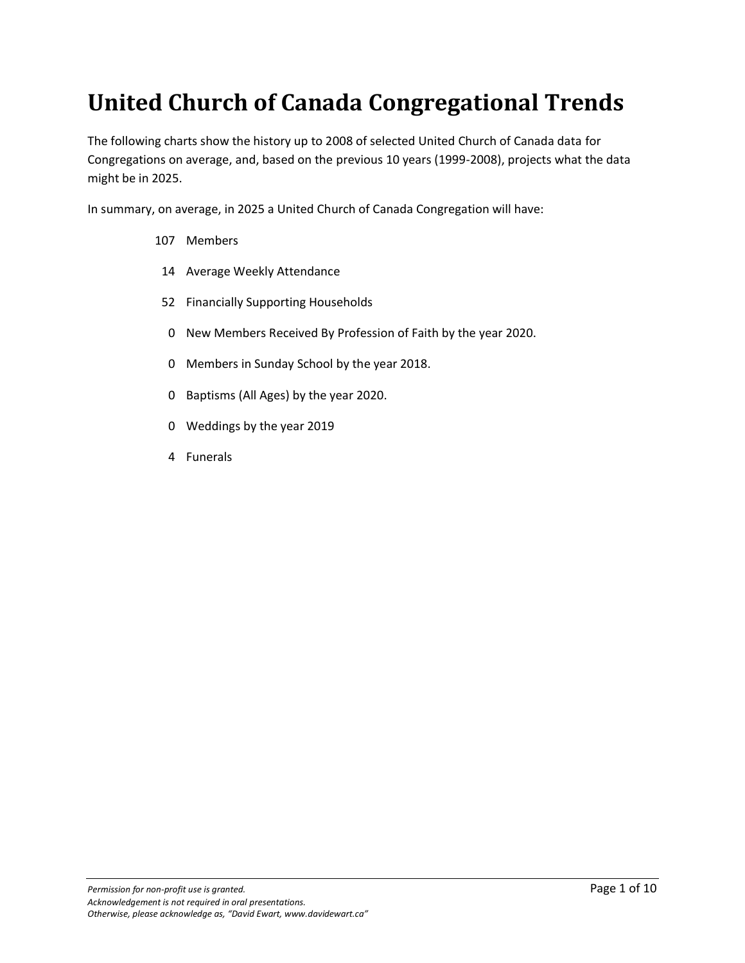### **United Church of Canada Congregational Trends**

The following charts show the history up to 2008 of selected United Church of Canada data for Congregations on average, and, based on the previous 10 years (1999-2008), projects what the data might be in 2025.

In summary, on average, in 2025 a United Church of Canada Congregation will have:

- 107 Members
- 14 Average Weekly Attendance
- 52 Financially Supporting Households
- 0 New Members Received By Profession of Faith by the year 2020.
- 0 Members in Sunday School by the year 2018.
- 0 Baptisms (All Ages) by the year 2020.
- 0 Weddings by the year 2019
- 4 Funerals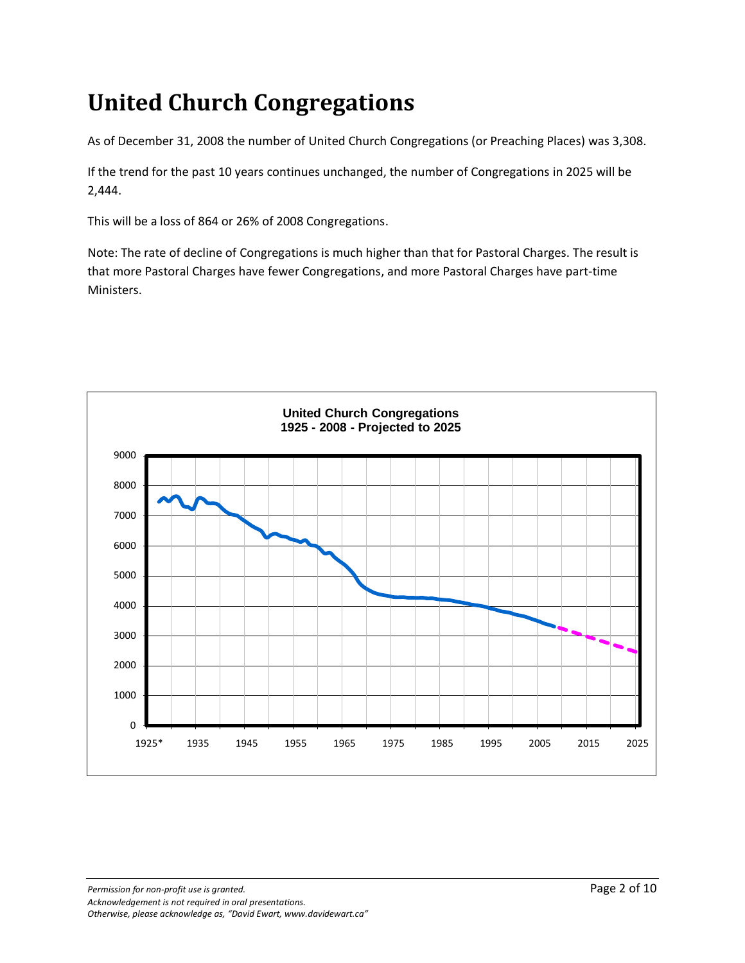# **United Church Congregations**

As of December 31, 2008 the number of United Church Congregations (or Preaching Places) was 3,308.

If the trend for the past 10 years continues unchanged, the number of Congregations in 2025 will be 2,444.

This will be a loss of 864 or 26% of 2008 Congregations.

Note: The rate of decline of Congregations is much higher than that for Pastoral Charges. The result is that more Pastoral Charges have fewer Congregations, and more Pastoral Charges have part-time Ministers.



**Permission for non-profit use is granted. Page 2 of 10** *Acknowledgement is not required in oral presentations. Otherwise, please acknowledge as, "David Ewart, www.davidewart.ca"*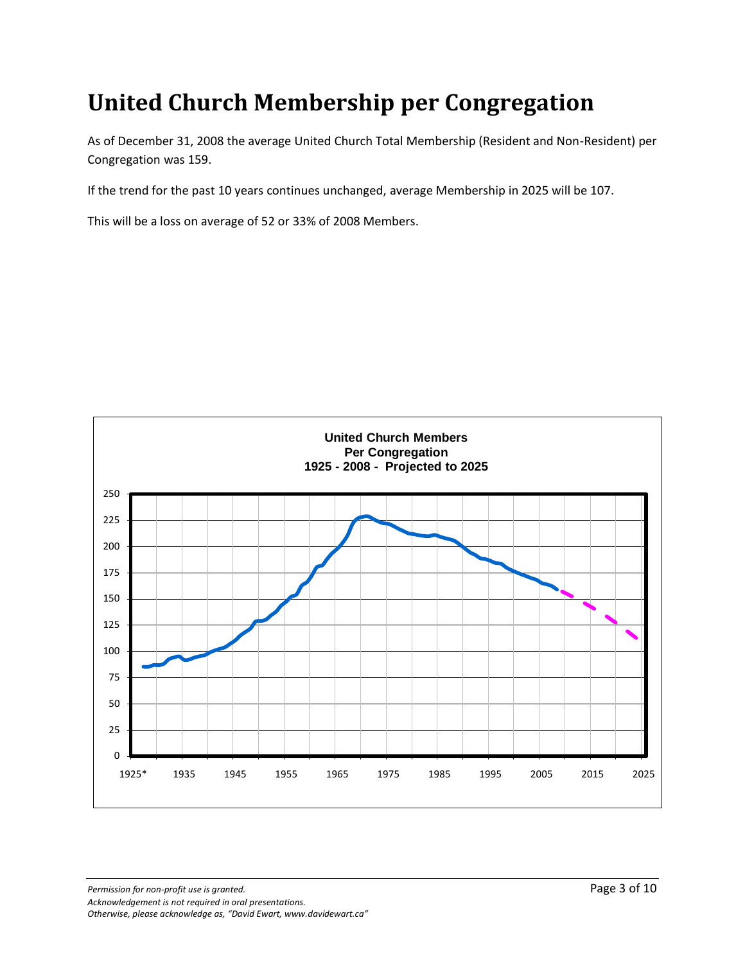### **United Church Membership per Congregation**

As of December 31, 2008 the average United Church Total Membership (Resident and Non-Resident) per Congregation was 159.

If the trend for the past 10 years continues unchanged, average Membership in 2025 will be 107.

This will be a loss on average of 52 or 33% of 2008 Members.

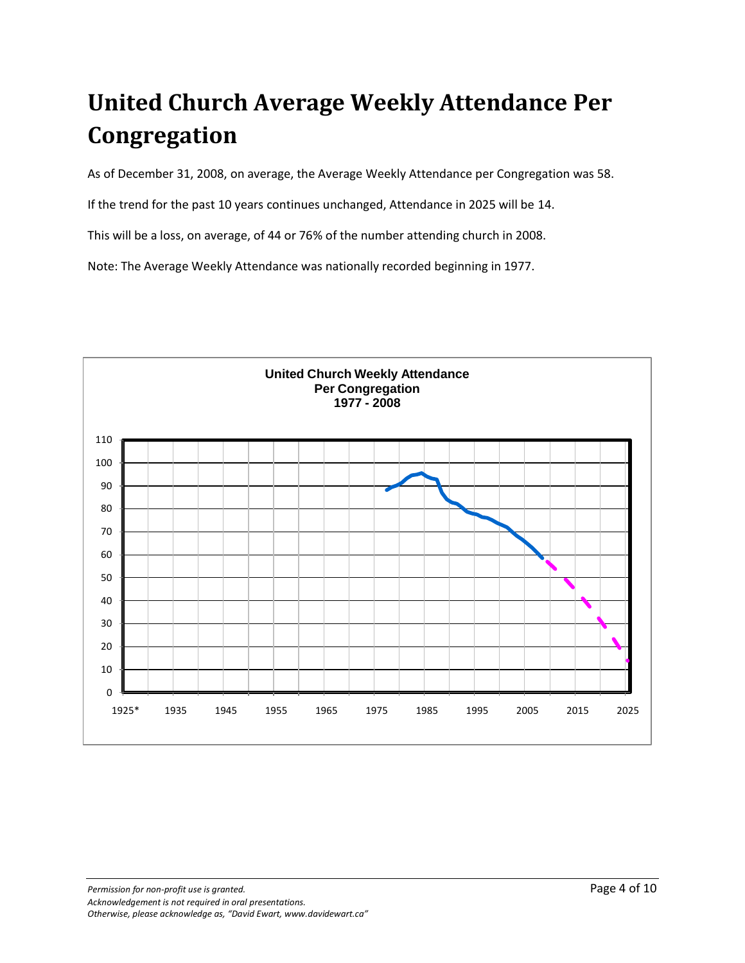## **United Church Average Weekly Attendance Per Congregation**

As of December 31, 2008, on average, the Average Weekly Attendance per Congregation was 58.

If the trend for the past 10 years continues unchanged, Attendance in 2025 will be 14.

This will be a loss, on average, of 44 or 76% of the number attending church in 2008.

Note: The Average Weekly Attendance was nationally recorded beginning in 1977.

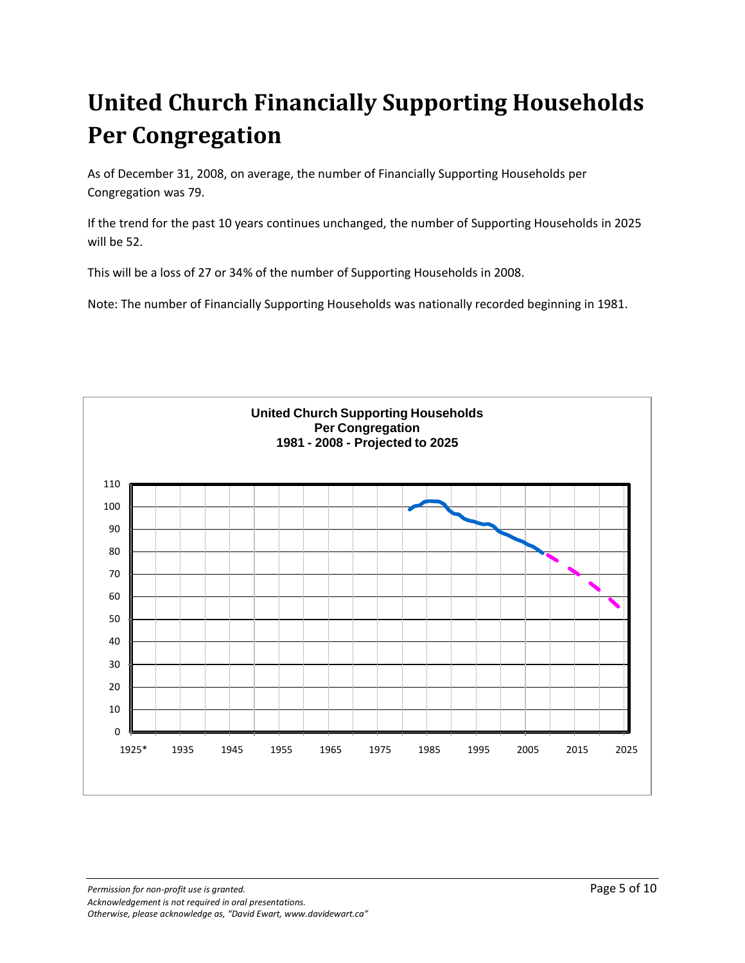# **United Church Financially Supporting Households Per Congregation**

As of December 31, 2008, on average, the number of Financially Supporting Households per Congregation was 79.

If the trend for the past 10 years continues unchanged, the number of Supporting Households in 2025 will be 52.

This will be a loss of 27 or 34% of the number of Supporting Households in 2008.

Note: The number of Financially Supporting Households was nationally recorded beginning in 1981.

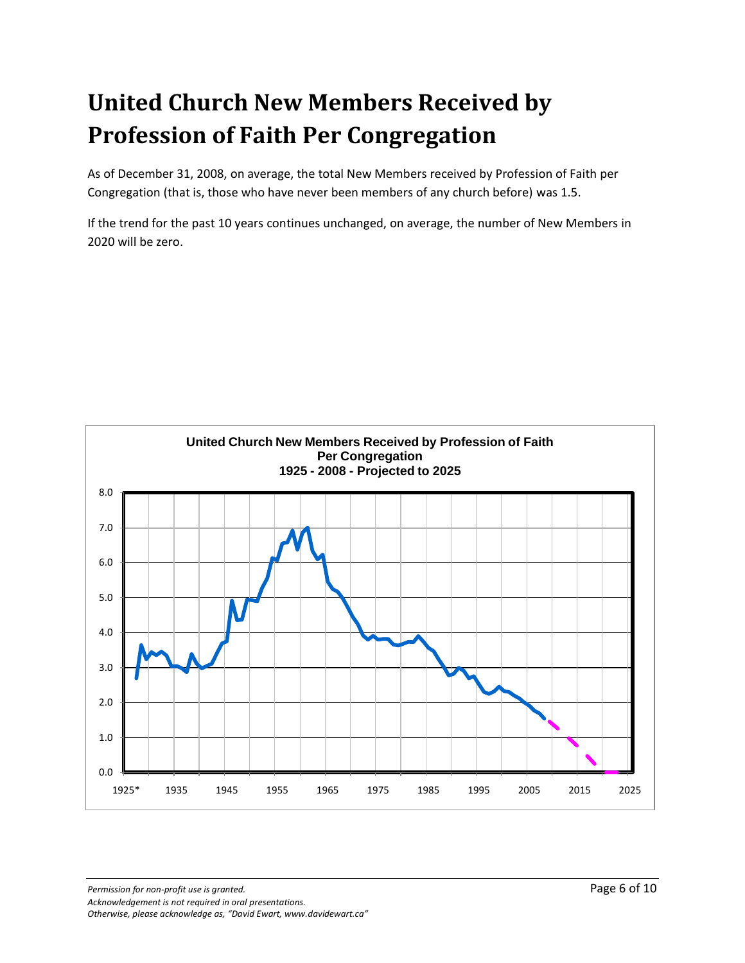# **United Church New Members Received by Profession of Faith Per Congregation**

As of December 31, 2008, on average, the total New Members received by Profession of Faith per Congregation (that is, those who have never been members of any church before) was 1.5.

If the trend for the past 10 years continues unchanged, on average, the number of New Members in 2020 will be zero.

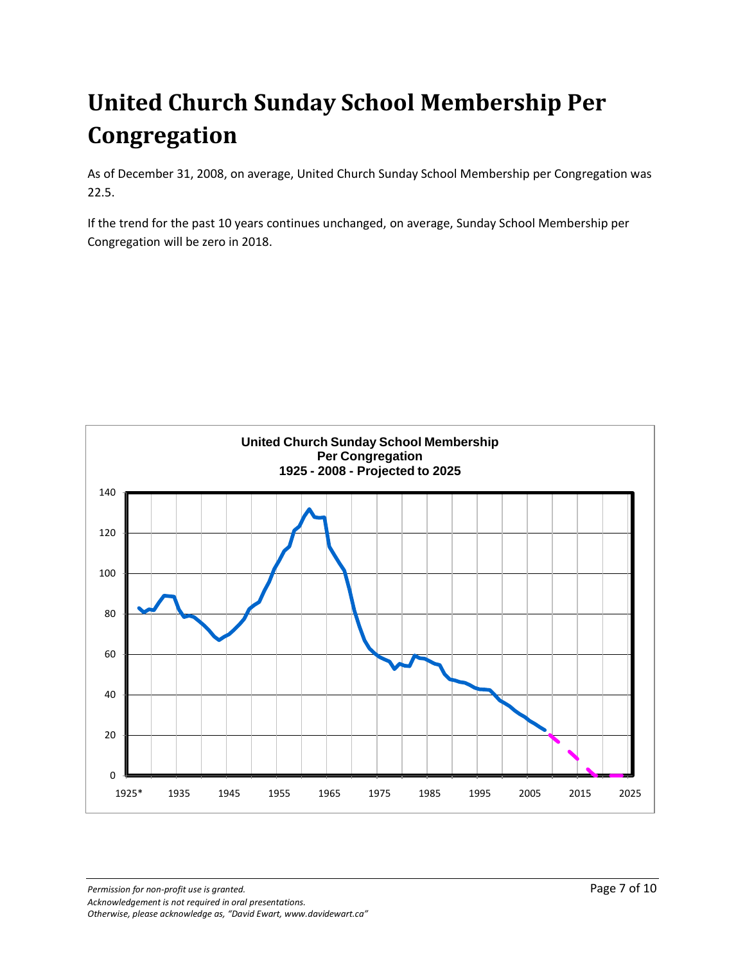# **United Church Sunday School Membership Per Congregation**

As of December 31, 2008, on average, United Church Sunday School Membership per Congregation was 22.5.

If the trend for the past 10 years continues unchanged, on average, Sunday School Membership per Congregation will be zero in 2018.

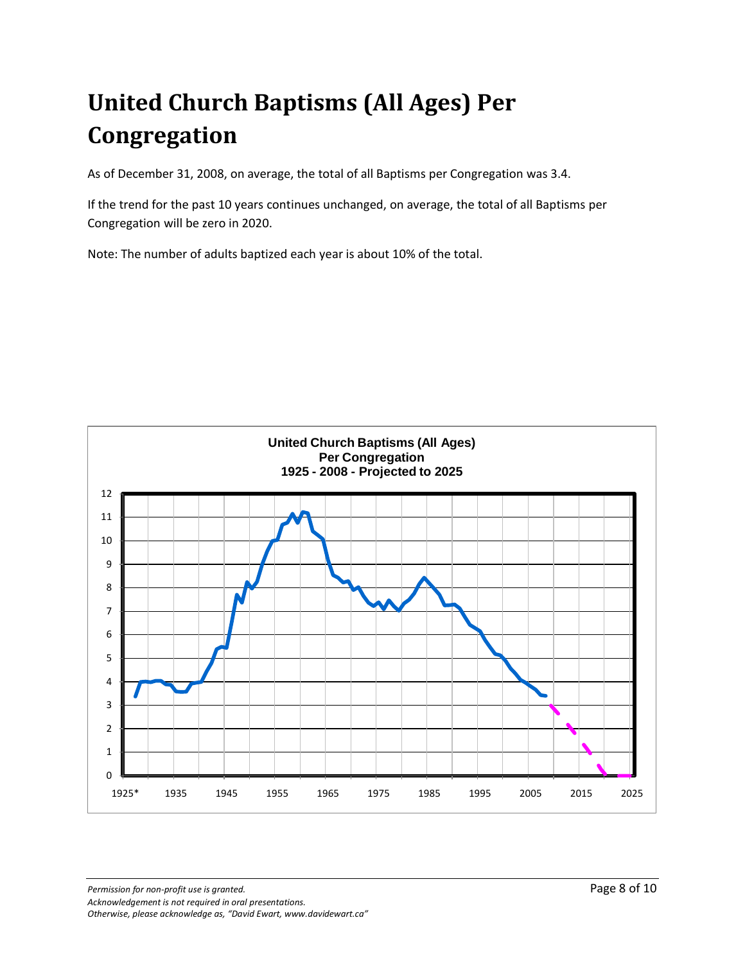# **United Church Baptisms (All Ages) Per Congregation**

As of December 31, 2008, on average, the total of all Baptisms per Congregation was 3.4.

If the trend for the past 10 years continues unchanged, on average, the total of all Baptisms per Congregation will be zero in 2020.

Note: The number of adults baptized each year is about 10% of the total.

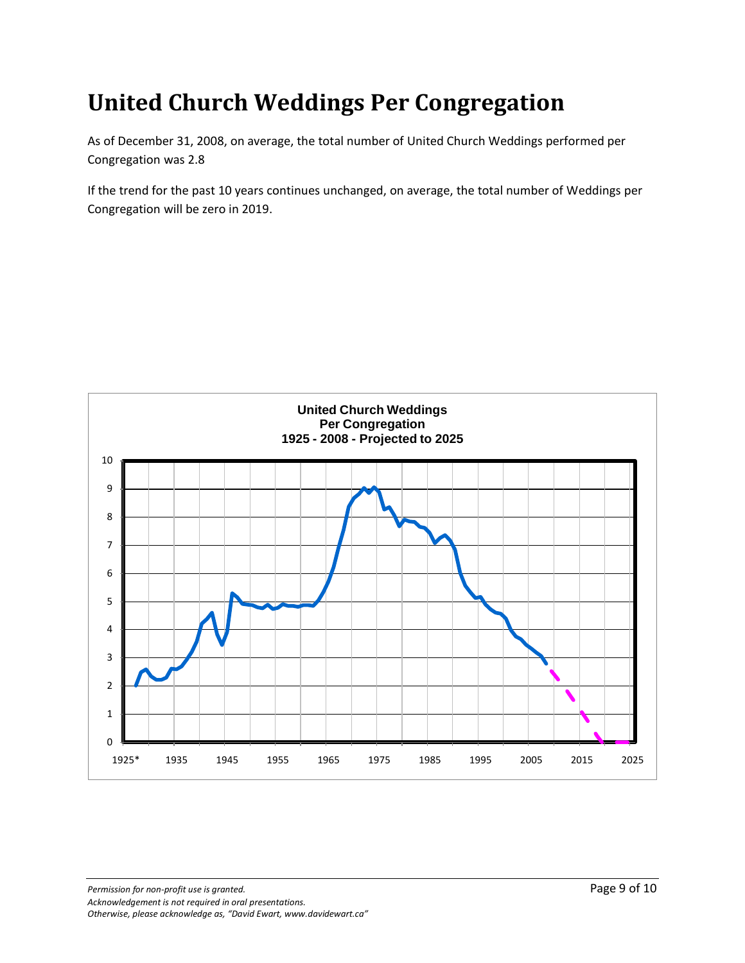### **United Church Weddings Per Congregation**

As of December 31, 2008, on average, the total number of United Church Weddings performed per Congregation was 2.8

If the trend for the past 10 years continues unchanged, on average, the total number of Weddings per Congregation will be zero in 2019.